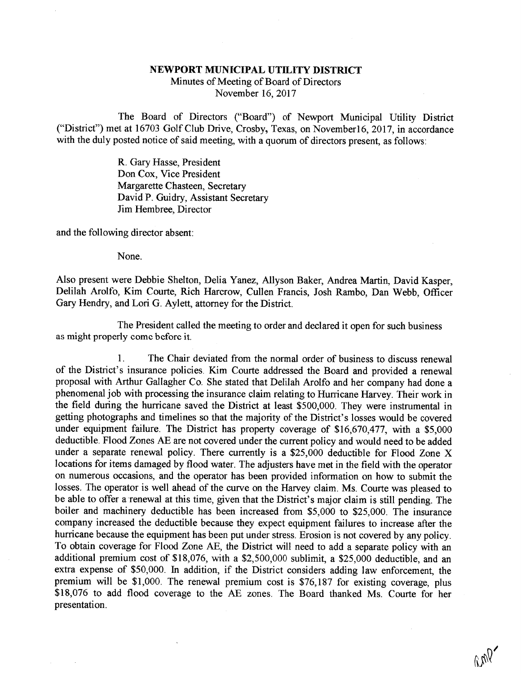## NEWPORT MUNICIPAL UTILITY DISTRICT

Minutes of Meeting of Board of Directors November 16, 2017

The Board of Directors ("Board") of Newport Municipal Utility District ("District") met at 16703 Golf Club Drive, Crosby, Texas, on Novemberl6, 2017, in accordance with the duly posted notice of said meeting, with a quorum of directors present, as follows:

> R. Gary Hasse, President Don Cox, Vice President Margarette Chasteen, Secretary David P. Guidry, Assistant Secretary Jim Hembree, Director

and the following director absent:

None.

Also present were Debbie Shelton, Delia Yanez, Allyson Baker, Andrea Martin, David Kasper, Delilah Arolfo, Kim Courte, Rich Harcrow, Cullen Francis, Josh Rambo, Dan Webb, Officer Gary Hendry, and Lori G. Aylett, attorney for the District.

The President called the meeting to order and declared it open for such business as might properly come before it.

1. The Chair deviated from the normal order of business to discuss renewal of the District's insurance policies. Kim Courte addressed the Board and provided a renewal proposal with Arthur Gallagher Co. She stated that Delilah Arolfo and her company had done a phenomenal job with processing the insurance claim relating to Hurricane Harvey. Their work in the field during the hurricane saved the District at least \$500,000. They were instmmental in getting photographs and timelines so that the majority of the District's losses would be covered under equipment failure. The District has property coverage of \$16,670,477, with a \$5,000 deductible. Flood Zones AE are not under a separate renewal policy. There currently is a \$25,000 deductible for Flood Zone X locations for items damaged by flood water. The adjusters have met in the field with the operator on numerous occasions, and the operator has been provided information on how to submit the losses. The operator is well ahead of the curve on the Harvey claim. Ms. Courte was pleased to be able to offer a renewal at this time, given that the District's major claim is still pending. The boiler and machinery deductible has been increased from \$5,000 to \$25,000. The insurance company increased the deductible because they expect equipment failures to increase after the hurricane because the equipment has been put under stress. Erosion is not covered by any policy. To obtain coverage for Flood Zone AE, the District will need to add a separate policy with an additional premium cost of \$18,076, with a \$2,500,000 sublimit, a \$25,000 deductible, and an extra expense of \$50,000. In addition, if the District considers adding law enforcement, the premium will be \$1,000. The renewal premium cost is \$76,187 for existing coverage, plus \$18,076 to add flood coverage to the AE z presentation.

 $v_{\text{V}}$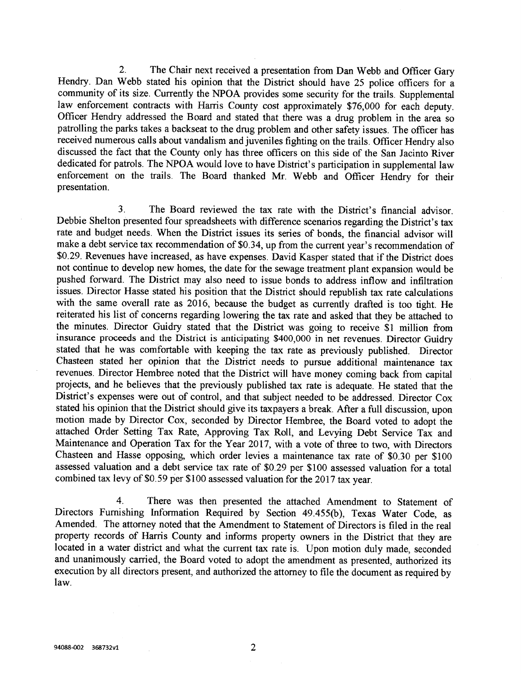2. The Chair next received a presentation from Dan Webb and Officer Gary Hendry. Dan Webb stated his opinion that the District should have 25 police officers for a community of its size. Currently the NPOA provides some security for the trails. Supplemental law enforcement contracts with Harris County cost approximately \$76,000 for each deputy.<br>Officer Hendry addressed the Board and stated that there was a drug problem in the area so patrolling the parks takes a backseat to the drug problem and other safety issues. The officer has received numerous calls about vandalism and juveniles fighting on the trails. Officer Hendry also discussed the fact that the County only has three officers on this side of the San Jacinto River dedicated for patrols. The NPOA would love to have District's participation in supplemental law enforcement on the trails. The Board thanked Mr. Webb and Officer Hendry for their presentation.

3. The Board reviewed the tax rate with the District's financial advisor. Debbie Shelton presented four spreadsheets with difference scenarios regarding the District's tax make a debt service tax recommendation of \$0.34, up from the current year's recommendation of \$0.29. Revenues have increased, as have expenses. David Kasper stated that if the District does not continue to develop new homes, the date for the sewage treatment plant expansion would be pushed forward. The District may also need to issue bonds to address inflow and infiltration issues. Director Hasse stated his position that the District should republish tax rate calculations with the same overall rate as 2016, because the budget as currently drafted is too tight. He reiterated his list of concerns regarding lowering the tax rate and asked that they be attached to the minutes. Director Guidry stated that the District was going to receive \$1 million from<br>insurance proceeds and the District is anticipating \$400,000 in net revenues. Director Guidry stated that he was comfortable with keeping the tax rate as previously published. Director Chasteen stated her opinion that the District needs to pursue additional maintenance tax revenues. Director Hembree noted that the District will have money coming back from capital projects, and he believes that the previously published tax rate is adequate. He stated that the District's expenses were out of control, and that subject needed to be addressed. Director Cox stated his opinion that the District should give its taxpayers a break. After a full discussion, upon motion made by Director Cox, seconded by Director Hembree, the Board voted to adopt the attached Order Setting Tax Rate, Approving Tax Roll, and Levying Debt Service Tax and Chasteen and Hasse opposing, which order levies a maintenance tax rate of \$0.30 per \$100 assessed valuation and a debt service tax rate of \$0.29 per \$100 assessed valuation for a total combined tax levy of \$0.59 per \$100 a

4. There was then presented the attached Amendment to Statement of Directors Furnishing Infonnation Required by Section 49.455(b), Texas Water Code, as Amended. The attorney noted that the Amendment to Statement of Directors is filed in the real property records of Harris County and informs property owners in the District that they are located in a water district and what the current tax rate is. Upon motion duly made, seconded and unanimously carried, the Board voted to adopt the amendment as presented, authorized its execution by all directors present, and authorized the attorney to file the document as required by law.

2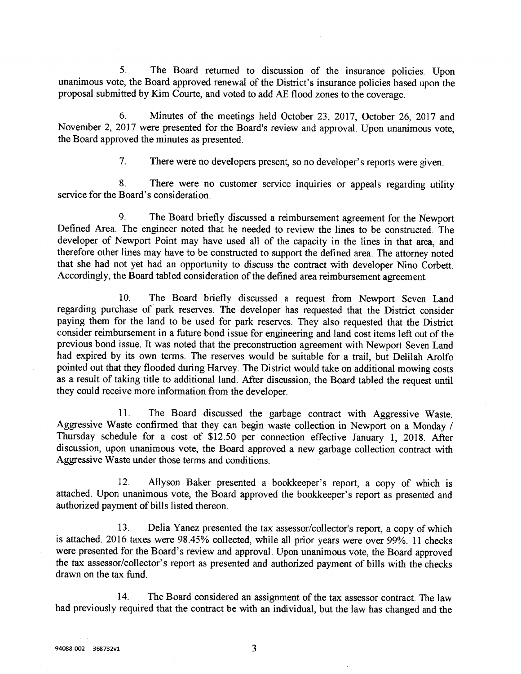5. The Board returned to discussion of the insurance policies. Upon unanimous vote, the Board approved renewal of the District's insurance policies based upon the proposal submitted by Kim Courte, and voted to add AE flood zones to the coverage.

6. Minutes of the meetings held October 23, 2017, October 26, 2017 and November 2, 2017 were presented for the Board's review and approval. Upon unanimous vote, the Board approved the minutes as presented.

7. There were no developers present, so no developer's reports were given.

8. There were no customer service inquiries or appeals regarding utility service for the Board's consideration.

9. The Board briefly discussed a reimbursement agreement for the Newport Defined Area. The engineer noted that he needed to review the lines to be constructed. The developer of Newport Point may have used all of the capacity in the lines in that area, and therefore other lines may have to be constructed to support the defined area. The attorney noted that she had not yet had an opportunity to discuss the contract with developer Nino Corbett. Accordingly, the Board tabled consideration of the defined area reimbursement agreement.

10. The Board briefly discussed a request from Newport Seven Land regarding purchase of park reserves. The developer has requested that the District consider paying them for the land to be used for park reserves. They also requested that the District consider reimbursement in a future bond issue for engineering and land cost items left out of the previous bond issue. It was noted that the preconstruction agreement with Newport Seven Land had expired by its own terms. The reserves would be suitable for a trail, but Delilah Arolfo pointed out that they flooded during Harvey. The District would take on additional mowing costs as a result of taking title to additional land. After discussion, the Board tabled the request until they could receive more information from the developer.

11. The Board discussed the garbage contract with Aggressive Waste. Aggressive Waste confinned that they can begin waste collection in Newport on a Monday / Thursday schedule for a cost of \$12.50 per connection effective January 1, 2018. After discussion, upon unanimous vote, the Board approved a new garbage collection contract with Aggressive Waste under those terms and conditions.

12. Allyson Baker presented a bookkeeper's report, a copy of which is attached. Upon unanimous vote, the Board approved the bookkeeper's report as presented and authorized payment of bills listed thereon.

13. Delia Yanez presented the tax assessor/collector's report, a copy of which is attached. 2016 taxes were 98.45% collected, while all prior years were over 99%. 11 checks were presented for the Board's review and approval. Upon unanimous vote, the Board approved the tax assessor/collector's report as presented and authorized payment of bills with the checks drawn on the tax fund.

14. The Board considered an assignment of the tax assessor contract, The law had previously required that the contract be with an individual, but the law has changed and the

3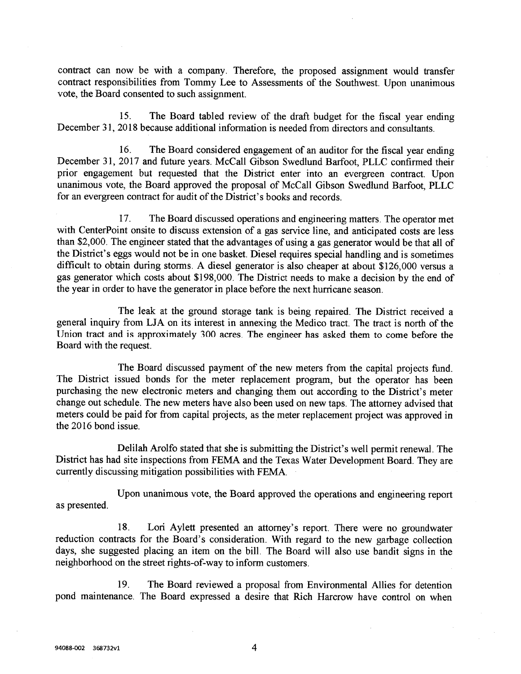contract can now be with a company. Therefore, the proposed assignment would transfer contract responsibilities from Tommy Lee to Assessments of the Southwest. Upon unanimous vote, the Board consented to such assignment.

15. The Board tabled review of the draft budget for the fiscal year ending December 31, 2018 because additional information is needed from directors and consultants.

16. The Board considered engagement of an auditor for the fiscal year ending December 31, 2017 and future years. McCall Gibson Swedlund Barfoot, PLLC confirmed their prior engagement but requested that the District enter into an evergreen contract. Upon unanimous vote, the Board approved the proposal of McCall Gibson Swedlund Barfoot, PLLC for an evergreen contract for audit of the District's books and records.

17. The Board discussed operations and engineering matters. The operator met with CenterPoint onsite to discuss extension of a gas service line, and anticipated costs are less than \$2,000. The engineer stated that the advantages of using a gas generator would be that all of the District's eggs would not be in one basket. Diesel requires special handling and is sometimes difficult to obtain during storms. A diesel generator is also cheaper at about \$126,000 versus a gas generator which costs about \$198,000. The District needs to make a decision by the end of the year in order to have the generator in place before the next hurricane season.

The leak at the ground storage tank is being repaired. The District received a general inquiry from LJA on its interest in annexing the Medico tract. The tract is north of the Union tract and is approximately 300 acres. The engineer has asked them to come before the Board with the request.

The Board discussed payment of the new meters from the capital projects fund. The District issued bonds for the meter replacement program, but the operator has been purchasing the new electronic meters and changing them out according to the District's meter change out schedule. The new meters have also been used on new taps. The attorney advised that meters could be paid for from capital projects, as the meter replacement project was approved in the 2016 bond issue.

Delilah Arolfo stated that she is submitting the District's well permit renewal. The District has had site inspections from FEMA and the Texas Water Development Board. They are currently discussing mitigation possibilities with FEMA.

as presented. Upon unanimous vote, the Board approved the operations and engineering report

18. Lori Aylett presented an attorney's report. There were no groundwater reduction contracts for the Board's consideration. With regard to the new garbage collection days, she suggested placing an item on the bill. The Board will also use bandit signs in the neighborhood on the street rights-of-way to inform customers.

19. The Board reviewed a proposal from Environmental Allies for detention pond maintenance. The Board expressed a desire that Rich Harcrow have control on when